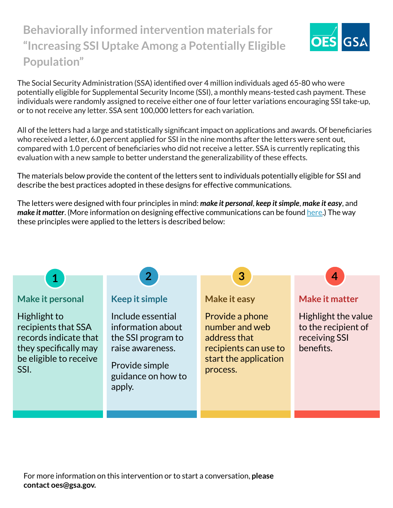## **Behaviorally informed intervention materials for "Increasing SSI Uptake Among a Potentially Eligible Population"**



The Social Security Administration (SSA) identified over 4 million individuals aged 65-80 who were potentially eligible for Supplemental Security Income (SSI), a monthly means-tested cash payment. These individuals were randomly assigned to receive either one of four letter variations encouraging SSI take-up, or to not receive any letter. SSA sent 100,000 letters for each variation.

All of the letters had a large and statistically significant impact on applications and awards. Of beneficiaries who received a letter, 6.0 percent applied for SSI in the nine months after the letters were sent out, compared with 1.0 percent of beneficiaries who did not receive a letter. SSA is currently replicating this evaluation with a new sample to better understand the generalizability of these effects.

The materials below provide the content of the letters sent to individuals potentially eligible for SSI and describe the best practices adopted in these designs for effective communications.

The letters were designed with four principles in mind: *make it personal*, *keep it simple*, *make it easy*, and *make it matter*. (More information on designing effective communications can be found [here](https://oes.gsa.gov/assets/abstracts/OES%20Learnings%20on%20Writing%20Better%20Communications%202018.pdf).) The way these principles were applied to the letters is described below: